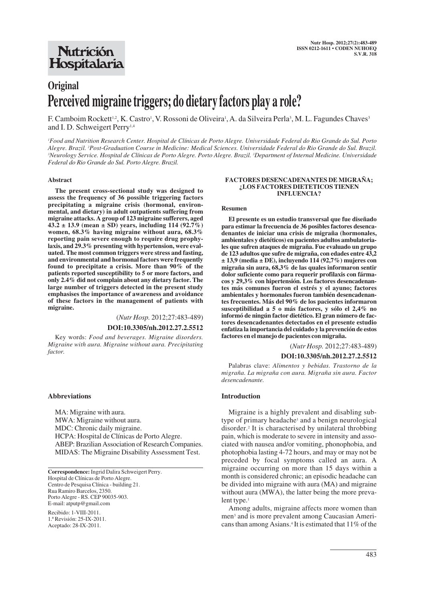# **Nutrición** Hospitalaria

# **Original Perceived migraine triggers; do dietary factors play a role?**

F. Camboim Rockett<sup>1,2</sup>, K. Castro<sup>1</sup>, V. Rossoni de Oliveira<sup>1</sup>, A. da Silveira Perla<sup>3</sup>, M. L. Fagundes Chaves<sup>3</sup> and I. D. Schweigert Perry<sup>1,4</sup>

*1 Food and Nutrition Research Center. Hospital de Clínicas de Porto Alegre. Universidade Federal do Rio Grande do Sul. Porto Alegre. Brazil. 2 Post-Graduation Course in Medicine: Medical Sciences. Universidade Federal do Rio Grande do Sul. Brazil. 3 Neurology Service. Hospital de Clínicas de Porto Alegre. Porto Alegre. Brazil. 3 Department of Internal Medicine. Universidade Federal do Rio Grande do Sul. Porto Alegre. Brazil.*

#### **Abstract**

**The present cross-sectional study was designed to assess the frequency of 36 possible triggering factors precipitating a migraine crisis (hormonal, environmental, and dietary) in adult outpatients suffering from migraine attacks. A group of 123 migraine sufferers, aged 43.2 ± 13.9 (mean ± SD) years, including 114 (92.7%) women, 68.3% having migraine without aura, 68.3% reporting pain severe enough to require drug prophylaxis, and 29.3% presenting with hypertension, were evaluated. The most common triggers were stress and fasting, and environmental and hormonal factors were frequently found to precipitate a crisis. More than 90% of the patients reported susceptibility to 5 or more factors, and only 2.4% did not complain about any dietary factor. The large number of triggers detected in the present study emphasises the importance of awareness and avoidance of these factors in the management of patients with migraine.**

> (*Nutr Hosp.* 2012;27:483-489) **DOI:10.3305/nh.2012.27.2.5512**

Key words: *Food and beverages. Migraine disorders. Migraine with aura. Migraine without aura. Precipitating factor.*

#### **Abbreviations**

MA: Migraine with aura. MWA: Migraine without aura. MDC: Chronic daily migraine. HCPA: Hospital de Clínicas de Porto Alegre. ABEP: Brazilian Association of Research Companies. MIDAS: The Migraine Disability Assessment Test.

**Correspondence:** Ingrid Dalira Schweigert Perry. Hospital de Clínicas de Porto Alegre. Centro de Pesquisa Clínica - building 21. Rua Ramiro Barcelos, 2350. Porto Alegre - RS. CEP 90035-903. E-mail: atputp@gmail.com

Recibido: 1-VIII-2011. 1.ª Revisión: 25-IX-2011. Aceptado: 28-IX-2011.

#### **FACTORES DESENCADENANTES DE MIGRAÑA; ¿LOS FACTORES DIETETICOS TIENEN INFLUENCIA?**

#### **Resumen**

**El presente es un estudio transversal que fue diseñado para estimar la frecuencia de 36 posibles factores desencadenantes de iniciar una crisis de migraña (hormonales, ambientales y dietéticos) en pacientes adultos ambulatoriales que sufren ataques de migraña. Fue evaluado un grupo de 123 adultos que sufre de migraña, con edades entre 43,2 ± 13,9 (media ± DE), incluyendo 114 (92,7%) mujeres con migraña sin aura, 68,3% de las quales informaron sentir dolor suficiente como para requerir profilaxis con fármacos y 29,3% con hipertensión. Los factores desencadenantes más comunes fueron el estrés y el ayuno; factores ambientales y hormonales fueron también desencadenantes frecuentes. Más del 90% de los pacientes informaron susceptibilidad a 5 o más factores, y sólo el 2,4% no informó de ningún factor dietético. El gran número de factores desencadenantes detectados en el presente estudio enfatiza la importancia del cuidado y la prevención de estos factores en el manejo de pacientes con migraña.**

(*Nutr Hosp.* 2012;27:483-489)

#### **DOI:10.3305/nh.2012.27.2.5512**

Palabras clave: *Alimentos y bebidas. Trastorno de la migraña. La migraña con aura. Migraña sin aura. Factor desencadenante.*

#### **Introduction**

Migraine is a highly prevalent and disabling subtype of primary headache<sup>1</sup> and a benign neurological disorder.2 It is characterised by unilateral throbbing pain, which is moderate to severe in intensity and associated with nausea and/or vomiting, phonophobia, and photophobia lasting 4-72 hours, and may or may not be preceded by focal symptoms called an aura. A migraine occurring on more than 15 days within a month is considered chronic; an episodic headache can be divided into migraine with aura (MA) and migraine without aura (MWA), the latter being the more prevalent type.<sup>1</sup>

Among adults, migraine affects more women than men<sup>3</sup> and is more prevalent among Caucasian Americans than among Asians.4 It is estimated that 11% of the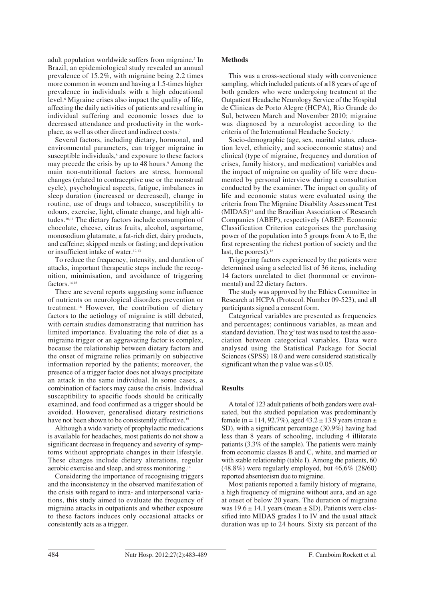adult population worldwide suffers from migraine.<sup>5</sup> In Brazil, an epidemiological study revealed an annual prevalence of 15.2%, with migraine being 2.2 times more common in women and having a 1.5-times higher prevalence in individuals with a high educational level.6 Migraine crises also impact the quality of life, affecting the daily activities of patients and resulting in individual suffering and economic losses due to decreased attendance and productivity in the workplace, as well as other direct and indirect costs.7

Several factors, including dietary, hormonal, and environmental parameters, can trigger migraine in susceptible individuals,<sup>8</sup> and exposure to these factors may precede the crisis by up to 48 hours.<sup>9</sup> Among the main non-nutritional factors are stress, hormonal changes (related to contraceptive use or the menstrual cycle), psychological aspects, fatigue, imbalances in sleep duration (increased or decreased), change in routine, use of drugs and tobacco, susceptibility to odours, exercise, light, climate change, and high altitudes.10,11 The dietary factors include consumption of chocolate, cheese, citrus fruits, alcohol, aspartame, monosodium glutamate, a fat-rich diet, dairy products, and caffeine; skipped meals or fasting; and deprivation or insufficient intake of water.<sup>12,13</sup>

To reduce the frequency, intensity, and duration of attacks, important therapeutic steps include the recognition, minimisation, and avoidance of triggering factors.<sup>14,15</sup>

There are several reports suggesting some influence of nutrients on neurological disorders prevention or treatment.16 However, the contribution of dietary factors to the aetiology of migraine is still debated, with certain studies demonstrating that nutrition has limited importance. Evaluating the role of diet as a migraine trigger or an aggravating factor is complex, because the relationship between dietary factors and the onset of migraine relies primarily on subjective information reported by the patients; moreover, the presence of a trigger factor does not always precipitate an attack in the same individual. In some cases, a combination of factors may cause the crisis. Individual susceptibility to specific foods should be critically examined, and food confirmed as a trigger should be avoided. However, generalised dietary restrictions have not been shown to be consistently effective.<sup>15</sup>

Although a wide variety of prophylactic medications is available for headaches, most patients do not show a significant decrease in frequency and severity of symptoms without appropriate changes in their lifestyle. These changes include dietary alterations, regular aerobic exercise and sleep, and stress monitoring.14

Considering the importance of recognising triggers and the inconsistency in the observed manifestation of the crisis with regard to intra- and interpersonal variations, this study aimed to evaluate the frequency of migraine attacks in outpatients and whether exposure to these factors induces only occasional attacks or consistently acts as a trigger.

### **Methods**

This was a cross-sectional study with convenience sampling, which included patients of ≥18 years of age of both genders who were undergoing treatment at the Outpatient Headache Neurology Service of the Hospital de Clinicas de Porto Alegre (HCPA), Rio Grande do Sul, between March and November 2010; migraine was diagnosed by a neurologist according to the criteria of the International Headache Society.1

Socio-demographic (age, sex, marital status, education level, ethnicity, and socioeconomic status) and clinical (type of migraine, frequency and duration of crises, family history, and medication) variables and the impact of migraine on quality of life were documented by personal interview during a consultation conducted by the examiner. The impact on quality of life and economic status were evaluated using the criteria from The Migraine Disability Assessment Test (MIDAS)17 and the Brazilian Association of Research Companies (ABEP), respectively (ABEP: Economic Classification Criterion categorises the purchasing power of the population into 5 groups from A to E, the first representing the richest portion of society and the last, the poorest).<sup>18</sup>

Triggering factors experienced by the patients were determined using a selected list of 36 items, including 14 factors unrelated to diet (hormonal or environmental) and 22 dietary factors.

The study was approved by the Ethics Committee in Research at HCPA (Protocol. Number 09-523), and all participants signed a consent form.

Categorical variables are presented as frequencies and percentages; continuous variables, as mean and standard deviation. The  $\chi^2$  test was used to test the association between categorical variables. Data were analysed using the Statistical Package for Social Sciences (SPSS) 18.0 and were considered statistically significant when the p value was  $\leq 0.05$ .

# **Results**

A total of 123 adult patients of both genders were evaluated, but the studied population was predominantly female (n = 114, 92.7%), aged  $43.2 \pm 13.9$  years (mean  $\pm$ SD), with a significant percentage (30.9%) having had less than 8 years of schooling, including 4 illiterate patients (3.3% of the sample). The patients were mainly from economic classes B and C, white, and married or with stable relationship (table I). Among the patients, 60 (48.8%) were regularly employed, but 46,6% (28/60) reported absenteeism due to migraine.

Most patients reported a family history of migraine, a high frequency of migraine without aura, and an age at onset of below 20 years. The duration of migraine was  $19.6 \pm 14.1$  years (mean  $\pm$  SD). Patients were classified into MIDAS grades I to IV and the usual attack duration was up to 24 hours. Sixty six percent of the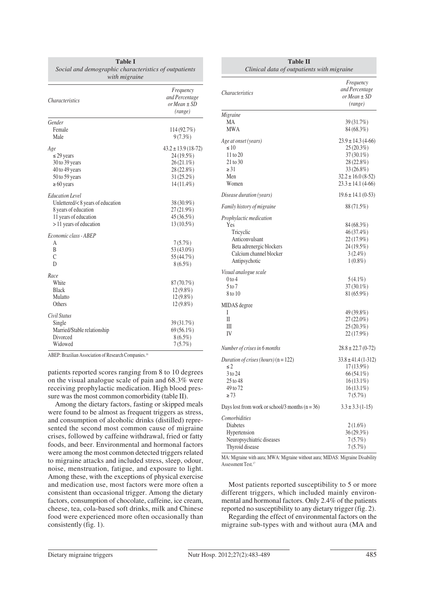| <i>Characteristics</i>                  | Frequency<br>and Percentage<br>$or Mean \pm SD$<br>(range) |
|-----------------------------------------|------------------------------------------------------------|
| Gender                                  |                                                            |
| Female                                  | 114 (92.7%)                                                |
| Male                                    | $9(7.3\%)$                                                 |
| Age                                     | $43.2 \pm 13.9$ (18-72)                                    |
| $\leq$ 29 years                         | 24 (19.5%)                                                 |
| 30 to 39 years                          | 26 (21.1%)                                                 |
| 40 to 49 years                          | 28 (22.8%)                                                 |
| 50 to 59 years                          | 31 (25.2%)                                                 |
| $\geq 60$ years                         | 14 (11.4%)                                                 |
| <b>Education</b> Level                  |                                                            |
| Unlettered/<8 years of education        | 38 (30.9%)                                                 |
| 8 years of education                    | 27 (21.9%)                                                 |
| 11 years of education                   | 45 (36.5%)                                                 |
| > 11 years of education                 | 13 (10.5%)                                                 |
| Economic class - ABEP                   |                                                            |
| А                                       | 7(5.7%)                                                    |
| B                                       | 53 (43.0%)                                                 |
| $\mathcal{C}$                           | 55 (44.7%)                                                 |
| D                                       | $8(6.5\%)$                                                 |
| Race                                    |                                                            |
| White                                   | 87 (70.7%)                                                 |
| <b>Black</b>                            | $12(9.8\%)$                                                |
| Mulatto                                 | $12(9.8\%)$                                                |
| Others                                  | $12(9.8\%)$                                                |
| Civil Status                            |                                                            |
| Single                                  | 39 (31.7%)                                                 |
| Married/Stable relationship<br>Divorced | 69 (56.1%)                                                 |
|                                         | $8(6.5\%)$                                                 |
| Widowed                                 | 7(5.7%)                                                    |

**Table I**

ABEP: Brazilian Association of Research Companies.<sup>18</sup>

patients reported scores ranging from 8 to 10 degrees on the visual analogue scale of pain and 68.3% were receiving prophylactic medication. High blood pressure was the most common comorbidity (table II).

Among the dietary factors, fasting or skipped meals were found to be almost as frequent triggers as stress, and consumption of alcoholic drinks (distilled) represented the second most common cause of migraine crises, followed by caffeine withdrawal, fried or fatty foods, and beer. Environmental and hormonal factors were among the most common detected triggers related to migraine attacks and included stress, sleep, odour, noise, menstruation, fatigue, and exposure to light. Among these, with the exceptions of physical exercise and medication use, most factors were more often a consistent than occasional trigger. Among the dietary factors, consumption of chocolate, caffeine, ice cream, cheese, tea, cola-based soft drinks, milk and Chinese food were experienced more often occasionally than consistently (fig. 1).

| <b>Table II</b><br>Clinical data of outpatients with migraine |                                                            |  |
|---------------------------------------------------------------|------------------------------------------------------------|--|
| <i>Characteristics</i>                                        | Frequency<br>and Percentage<br>or Mean $\pm$ SD<br>(range) |  |
| Migraine                                                      |                                                            |  |
| МA                                                            | 39 (31.7%)                                                 |  |
| MWA                                                           | 84 (68.3%)                                                 |  |
| Age at onset (years)                                          | $23.9 \pm 14.3$ (4-66)                                     |  |
| $\leq 10$                                                     | 25 (20.3%)                                                 |  |
| 11 to 20                                                      | $37(30.1\%)$                                               |  |
| 21 to 30                                                      | 28 (22.8%)                                                 |  |
| $\geq 31$                                                     | 33 (26.8%)                                                 |  |
| Men                                                           | $32.2 \pm 16.0$ (8-52)                                     |  |
| Women                                                         | $23.3 \pm 14.1$ (4-66)                                     |  |
| Disease duration (years)                                      | $19.6 \pm 14.1$ (0-53)                                     |  |
| Family history of migraine                                    | 88 (71.5%)                                                 |  |
| Prophylactic medication                                       |                                                            |  |
| Yes                                                           | 84 (68.3%)                                                 |  |
| Tricyclic                                                     | 46 (37.4%)                                                 |  |
| Anticonvulsant                                                | 22 (17.9%)                                                 |  |
| Beta adrenergic blockers                                      | 24 (19.5%)                                                 |  |
| Calcium channel blocker                                       | $3(2.4\%)$                                                 |  |
| Antipsychotic                                                 | $1(0.8\%)$                                                 |  |
| Visual analogue scale                                         |                                                            |  |
| $0$ to 4                                                      | $5(4.1\%)$                                                 |  |
| 5 to 7                                                        | 37 (30.1%)                                                 |  |
| 8 to 10                                                       | 81 (65.9%)                                                 |  |
| MIDAS degree                                                  |                                                            |  |
| I                                                             | 49 (39.8%)                                                 |  |
| П                                                             | 27 (22.0%)                                                 |  |
| Ш                                                             | 25 (20.3%)                                                 |  |
| IV                                                            | 22 (17.9%)                                                 |  |
| Number of crises in 6 months                                  | $28.8 \pm 22.7$ (0-72)                                     |  |
| Duration of crises (hours) $(n = 122)$                        | $33.8 \pm 41.4(1 - 312)$                                   |  |
| ≤2                                                            | $17(13.9\%)$                                               |  |
| 3 to 24                                                       | 66 (54.1%)                                                 |  |
| 25 to 48                                                      | $16(13.1\%)$                                               |  |
| 49 to 72                                                      | $16(13.1\%)$                                               |  |
| $\geq 73$                                                     | 7(5.7%)                                                    |  |
| Days lost from work or school/3 months $(n = 36)$             | $3.3 \pm 3.3$ (1-15)                                       |  |
| Comorbidities                                                 |                                                            |  |
| Diabetes                                                      | $2(1.6\%)$                                                 |  |
| Hypertension                                                  | 36 (29.3%)                                                 |  |
| Neuropsychiatric diseases                                     | 7(5.7%)                                                    |  |
| Thyroid disease                                               | 7(5.7%)                                                    |  |

MA: Migraine with aura; MWA: Migraine without aura; MIDAS: Migraine Disability Assessment Test.<sup>17</sup>

Most patients reported susceptibility to 5 or more different triggers, which included mainly environmental and hormonal factors. Only 2.4% of the patients reported no susceptibility to any dietary trigger (fig. 2).

Regarding the effect of environmental factors on the migraine sub-types with and without aura (MA and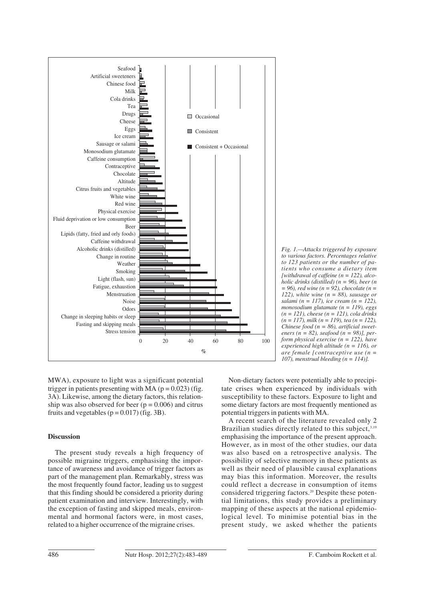



MWA), exposure to light was a significant potential trigger in patients presenting with MA  $(p = 0.023)$  (fig. 3A). Likewise, among the dietary factors, this relationship was also observed for beer ( $p = 0.006$ ) and citrus fruits and vegetables  $(p = 0.017)$  (fig. 3B).

# **Discussion**

The present study reveals a high frequency of possible migraine triggers, emphasising the importance of awareness and avoidance of trigger factors as part of the management plan. Remarkably, stress was the most frequently found factor, leading us to suggest that this finding should be considered a priority during patient examination and interview. Interestingly, with the exception of fasting and skipped meals, environmental and hormonal factors were, in most cases, related to a higher occurrence of the migraine crises.

Non-dietary factors were potentially able to precipitate crises when experienced by individuals with susceptibility to these factors. Exposure to light and some dietary factors are most frequently mentioned as potential triggers in patients with MA.

A recent search of the literature revealed only 2 Brazilian studies directly related to this subject.<sup>3,19</sup> emphasising the importance of the present approach. However, as in most of the other studies, our data was also based on a retrospective analysis. The possibility of selective memory in these patients as well as their need of plausible causal explanations may bias this information. Moreover, the results could reflect a decrease in consumption of items considered triggering factors.20 Despite these potential limitations, this study provides a preliminary mapping of these aspects at the national epidemiological level. To minimise potential bias in the present study, we asked whether the patients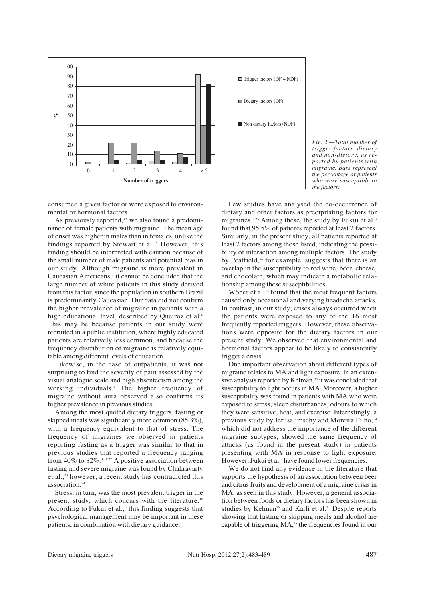

*Fig. 2.—Total number of trigger factors, dietary and non-dietary, as reported by patients with migraine. Bars represent the percentage of patients who were susceptible to the factors.*

consumed a given factor or were exposed to environmental or hormonal factors.

As previously reported,<sup>3,6</sup> we also found a predominance of female patients with migraine. The mean age of onset was higher in males than in females, unlike the findings reported by Stewart et al.<sup>15</sup> However, this finding should be interpreted with caution because of the small number of male patients and potential bias in our study. Although migraine is more prevalent in Caucasian Americans,<sup>4</sup> it cannot be concluded that the large number of white patients in this study derived from this factor, since the population in southern Brazil is predominantly Caucasian. Our data did not confirm the higher prevalence of migraine in patients with a high educational level, described by Queiroz et al.<sup>6</sup> This may be because patients in our study were recruited in a public institution, where highly educated patients are relatively less common, and because the frequency distribution of migraine is relatively equitable among different levels of education.

Likewise, in the case of outpatients, it was not surprising to find the severity of pain assessed by the visual analogue scale and high absenteeism among the working individuals.7 The higher frequency of migraine without aura observed also confirms its higher prevalence in previous studies.<sup>1</sup>

Among the most quoted dietary triggers, fasting or skipped meals was significantly more common (85.3%), with a frequency equivalent to that of stress. The frequency of migraines we observed in patients reporting fasting as a trigger was similar to that in previous studies that reported a frequency ranging from 40% to  $82\%$ .<sup>3,21,22</sup> A positive association between fasting and severe migraine was found by Chakravarty et al.,23 however, a recent study has contradicted this association.24

Stress, in turn, was the most prevalent trigger in the present study, which concurs with the literature.<sup>10</sup> According to Fukui et al., $\frac{3}{3}$  this finding suggests that psychological management may be important in these patients, in combination with dietary guidance.

Few studies have analysed the co-occurrence of dietary and other factors as precipitating factors for migraines.<sup>3,25</sup> Among these, the study by Fukui et al.<sup>3</sup> found that 95.5% of patients reported at least 2 factors. Similarly, in the present study, all patients reported at least 2 factors among those listed, indicating the possibility of interaction among multiple factors. The study by Peatfield,<sup>26</sup> for example, suggests that there is an overlap in the susceptibility to red wine, beer, cheese, and chocolate, which may indicate a metabolic relationship among these susceptibilities.

Wöber et al.<sup>10</sup> found that the most frequent factors caused only occasional and varying headache attacks. In contrast, in our study, crises always occurred when the patients were exposed to any of the 16 most frequently reported triggers. However, these observations were opposite for the dietary factors in our present study. We observed that environmental and hormonal factors appear to be likely to consistently trigger a crisis.

One important observation about different types of migraine relates to MA and light exposure. In an extensive analysis reported by Kelman,<sup>25</sup> it was concluded that susceptibility to light occurs in MA. Moreover, a higher susceptibility was found in patients with MA who were exposed to stress, sleep disturbances, odours to which they were sensitive, heat, and exercise. Interestingly, a previous study by Ierusalimschy and Moreira Filho,<sup>19</sup> which did not address the importance of the different migraine subtypes, showed the same frequency of attacks (as found in the present study) in patients presenting with MA in response to light exposure. However, Fukui et al.<sup>3</sup> have found lower frequencies.

We do not find any evidence in the literature that supports the hypothesis of an association between beer and citrus fruits and development of a migraine crisis in MA, as seen in this study. However, a general association between foods or dietary factors has been shown in studies by Kelman<sup>25</sup> and Karli et al.<sup>21</sup> Despite reports showing that fasting or skipping meals and alcohol are capable of triggering MA,<sup>25</sup> the frequencies found in our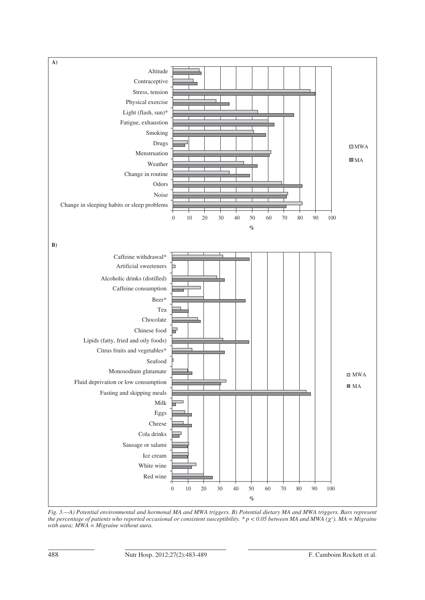

*Fig. 3.—A) Potential environmental and hormonal MA and MWA triggers. B) Potential dietary MA and MWA triggers. Bars represent the percentage of patients who reported occasional or consistent susceptibility.* \*  $p < 0.05$  between MA and MWA ( $\chi^2$ ). MA = Migraine *with aura; MWA = Migraine without aura.*